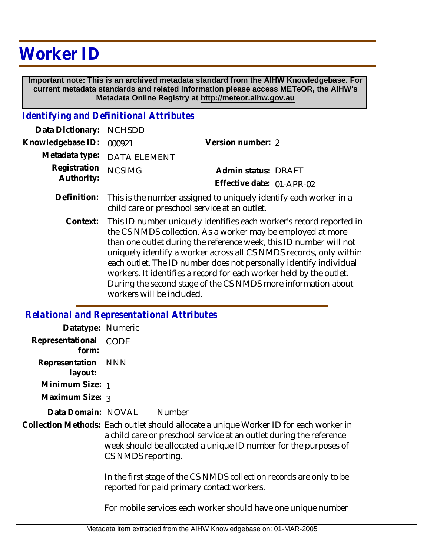## **Worker ID**

 **Important note: This is an archived metadata standard from the AIHW Knowledgebase. For current metadata standards and related information please access METeOR, the AIHW's Metadata Online Registry at http://meteor.aihw.gov.au**

## *Identifying and Definitional Attributes*

| Data Dictionary: NCHSDD  |                                                                         |                           |  |
|--------------------------|-------------------------------------------------------------------------|---------------------------|--|
| Knowledgebase ID: 000921 |                                                                         | Version number: 2         |  |
|                          | Metadata type: DATA ELEMENT                                             |                           |  |
| Registration NCSIMG      |                                                                         | Admin status: DRAFT       |  |
| Authority:               |                                                                         | Effective date: 01-APR-02 |  |
|                          | Definition. This is the muscles coolegeal to uniquely identify again up |                           |  |

- Definition: This is the number assigned to uniquely identify each worker in a child care or preschool service at an outlet.
	- This ID number uniquely identifies each worker's record reported in the CS NMDS collection. As a worker may be employed at more than one outlet during the reference week, this ID number will not uniquely identify a worker across all CS NMDS records, only within each outlet. The ID number does not personally identify individual workers. It identifies a record for each worker held by the outlet. During the second stage of the CS NMDS more information about workers will be included. **Context:**

## *Relational and Representational Attributes*

| Datatype: Numeric         |                                                                                                                                                                                                                                                       |        |  |  |
|---------------------------|-------------------------------------------------------------------------------------------------------------------------------------------------------------------------------------------------------------------------------------------------------|--------|--|--|
| Representational<br>form: | CODE                                                                                                                                                                                                                                                  |        |  |  |
| Representation<br>layout: | <b>NNN</b>                                                                                                                                                                                                                                            |        |  |  |
| Minimum Size: 1           |                                                                                                                                                                                                                                                       |        |  |  |
| Maximum Size: 3           |                                                                                                                                                                                                                                                       |        |  |  |
| Data Domain: NOVAL        |                                                                                                                                                                                                                                                       | Number |  |  |
|                           | Collection Methods: Each outlet should allocate a unique Worker ID for each worker in<br>a child care or preschool service at an outlet during the reference<br>week should be allocated a unique ID number for the purposes of<br>CS NMDS reporting. |        |  |  |
|                           | In the first stage of the CS NMDS collection records are only to be<br>reported for paid primary contact workers.                                                                                                                                     |        |  |  |

For mobile services each worker should have one unique number